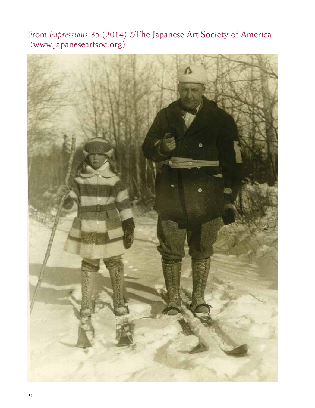From *Impressions* 35 (2014) ©The Japanese Art Society of America (www.japaneseartsoc.org)

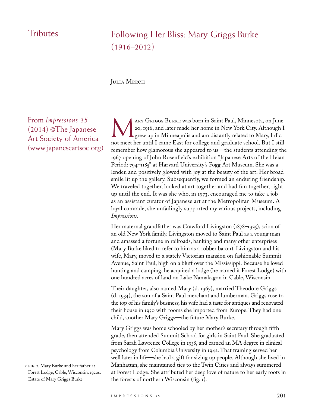## **Fributes**

# Following Her Bliss: Mary Griggs Burke  $(1916 - 2012)$

## JULIA MEECH

From *Impressions* 35 (2014) ©The Japanese Art Society of America (www.japaneseartsoc.org)

**fig. 1.** Mary Burke and her father at < Forest Lodge, Cable, Wisconsin. 1920s. Estate of Mary Griggs Burke

ARY GRIGGS BURKE was born in Saint Paul, Minnesota, on June<br>20, 1916, and later made her home in New York City. Although I<br>grew up in Minneapolis and am distantly related to Mary, I did 20, 1916, and later made her home in New York City. Although I grew up in Minneapolis and am distantly related to Mary, I did not meet her until I came East for college and graduate school. But I still remember how glamorous she appeared to us—the students attending the 1967 opening of John Rosenfield's exhibition "Japanese Arts of the Heian Period: 794–1185" at Harvard University's Fogg Art Museum. She was a lender, and positively glowed with joy at the beauty of the art. Her broad smile lit up the gallery. Subsequently, we formed an enduring friendship. We traveled together, looked at art together and had fun together, right up until the end. It was she who, in 1973, encouraged me to take a job as an assistant curator of Japanese art at the Metropolitan Museum. A loyal comrade, she unfailingly supported my various projects, including *Impressions*.

Her maternal grandfather was Crawford Livingston (1878–1925), scion of an old New York family. Livingston moved to Saint Paul as a young man and amassed a fortune in railroads, banking and many other enterprises (Mary Burke liked to refer to him as a robber baron). Livingston and his wife, Mary, moved to a stately Victorian mansion on fashionable Summit Avenue, Saint Paul, high on a bluff over the Mississippi. Because he loved hunting and camping, he acquired a lodge (he named it Forest Lodge) with one hundred acres of land on Lake Namakagon in Cable, Wisconsin.

Their daughter, also named Mary (d. 1967), married Theodore Griggs (d. 1934), the son of a Saint Paul merchant and lumberman. Griggs rose to the top of his family's business; his wife had a taste for antiques and renovated their house in 1930 with rooms she imported from Europe. They had one child, another Mary Griggs—the future Mary Burke.

Mary Griggs was home schooled by her mother's secretary through fifth grade, then attended Summit School for girls in Saint Paul. She graduated from Sarah Lawrence College in 1938, and earned an MA degree in clinical psychology from Columbia University in 1942. That training served her well later in life—she had a gift for sizing up people. Although she lived in Manhattan, she maintained ties to the Twin Cities and always summered at Forest Lodge. She attributed her deep love of nature to her early roots in the forests of northern Wisconsin (fig. 1).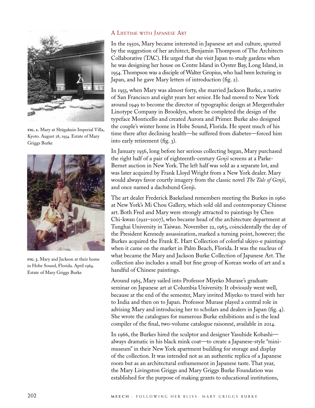

**fig. 2.** Mary at Shūgakuin Imperial Villa, Kyoto. August 28, 1954. Estate of Mary Griggs Burke



**fig. 3.** Mary and Jackson at their home in Hobe Sound, Florida. April 1964. Estate of Mary Griggs Burke

## A Lifetime with Japanese Art

In the 1950s, Mary became interested in Japanese art and culture, spurred by the suggestion of her architect, Benjamin Thompson of The Architects Collaborative (TAC). He urged that she visit Japan to study gardens when he was designing her house on Centre Island in Oyster Bay, Long Island, in 1954. Thompson was a disciple of Walter Gropius, who had been lecturing in Japan, and he gave Mary letters of introduction (fig. 2).

In 1955, when Mary was almost forty, she married Jackson Burke, a native of San Francisco and eight years her senior. He had moved to New York around 1949 to become the director of typographic design at Mergenthaler Linotype Company in Brooklyn, where he completed the design of the typeface Monticello and created Aurora and Primer. Burke also designed the couple's winter home in Hobe Sound, Florida. He spent much of his time there after declining health—he suffered from diabetes—forced him into early retirement (fig. 3).

In January 1956, long before her serious collecting began, Mary purchased the right half of a pair of eighteenth-century *Genji* screens at a Parke-Bernet auction in New York. The left half was sold as a separate lot, and was later acquired by Frank Lloyd Wright from a New York dealer. Mary would always favor courtly imagery from the classic novel *The Tale of Genji*, and once named a dachshund Genji.

The art dealer Frederick Baekeland remembers meeting the Burkes in 1960 at New York's Mi Chou Gallery, which sold old and contemporary Chinese art. Both Fred and Mary were strongly attracted to paintings by Chen Chi-kwan (1921–2007), who became head of the architecture department at Tunghai University in Taiwan. November 22, 1963, coincidentally the day of the President Kennedy assassination, marked a turning point, however; the Burkes acquired the Frank E. Hart Collection of colorful ukiyo-e paintings when it came on the market in Palm Beach, Florida. It was the nucleus of what became the Mary and Jackson Burke Collection of Japanese Art. The collection also includes a small but fine group of Korean works of art and a handful of Chinese paintings.

Around 1965, Mary sailed into Professor Miyeko Murase's graduate seminar on Japanese art at Columbia University. It obviously went well, because at the end of the semester, Mary invited Miyeko to travel with her to India and then on to Japan. Professor Murase played a central role in advising Mary and introducing her to scholars and dealers in Japan (fig. 4). She wrote the catalogues for numerous Burke exhibitions and is the lead compiler of the final, two-volume catalogue raisonné, available in 2014.

In 1966, the Burkes hired the sculptor and designer Yasuhide Kobashi always dramatic in his black mink coat—to create a Japanese-style "minimuseum" in their New York apartment building for storage and display of the collection. It was intended not as an authentic replica of a Japanese room but as an architectural enframement in Japanese taste. That year, the Mary Livingston Griggs and Mary Griggs Burke Foundation was established for the purpose of making grants to educational institutions,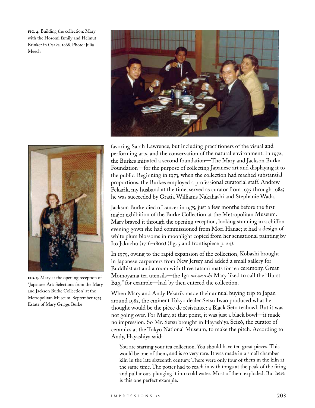**fig. 4.** Building the collection: Mary with the Hosomi family and Helmut Brinker in Osaka. 1968. Photo: Julia Meech



**fig. 5.** Mary at the opening reception of "Japanese Art: Selections from the Mary and Jackson Burke Collection" at the Metropolitan Museum. September 1975. Estate of Mary Griggs Burke



favoring Sarah Lawrence, but including practitioners of the visual and performing arts, and the conservation of the natural environment. In 1972, the Burkes initiated a second foundation—The Mary and Jackson Burke Foundation—for the purpose of collecting Japanese art and displaying it to the public. Beginning in 1973, when the collection had reached substantial proportions, the Burkes employed a professional curatorial staff. Andrew Pekarik, my husband at the time, served as curator from 1973 through 1984; he was succeeded by Gratia Williams Nakahashi and Stephanie Wada.

Jackson Burke died of cancer in 1975, just a few months before the first major exhibition of the Burke Collection at the Metropolitan Museum. Mary braved it through the opening reception, looking stunning in a chiffon evening gown she had commissioned from Mori Hanae; it had a design of white plum blossoms in moonlight copied from her sensational painting by Itō Jakuchū (1716–<sup>1800</sup>) (fig. 5 and frontispiece p. 24).

In 1979, owing to the rapid expansion of the collection, Kobashi brought in Japanese carpenters from New Jersey and added a small gallery for Buddhist art and a room with three tatami mats for tea ceremony. Great Momoyama tea utensils—the Iga *mizusashi* Mary liked to call the "Burst Bag," for example—had by then entered the collection.

When Mary and Andy Pekarik made their annual buying trip to Japan around 1982, the eminent Tokyo dealer Setsu Iwao produced what he thought would be the pièce de résistance: a Black Seto teabowl. But it was not going over. For Mary, at that point, it was just a black bowl—it made no impression. So Mr. Setsu brought in Hayashiya Seiz<sup>ō</sup>, the curator of ceramics at the Tokyo National Museum, to make the pitch. According to Andy, Hayashiya said:

You are starting your tea collection. You should have ten great pieces. This would be one of them, and is so very rare. It was made in a small chamber kiln in the late sixteenth century. There were only four of them in the kiln at the same time. The potter had to reach in with tongs at the peak of the firing and pull it out, plunging it into cold water. Most of them exploded. But here is this one perfect example.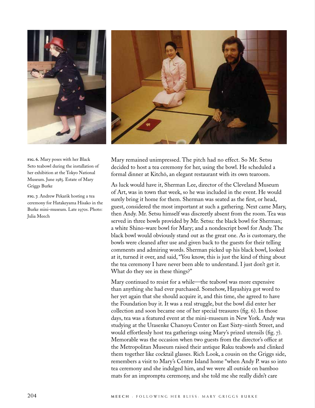

**fig. 6.** Mary poses with her Black Seto teabowl during the installation of her exhibition at the Tokyo National Museum. June 1985. Estate of Mary Griggs Burke

**fig. 7.** Andrew Pekarik hosting a tea ceremony for Hatakeyama Hisako in the Burke mini-museum. Late 1970s. Photo: Julia Meech



Mary remained unimpressed. The pitch had no effect. So Mr. Setsu decided to host a tea ceremony for her, using the bowl. He scheduled a formal dinner at Kitchō, an elegant restaurant with its own tearoom.

As luck would have it, Sherman Lee, director of the Cleveland Museum of Art, was in town that week, so he was included in the event. He would surely bring it home for them. Sherman was seated as the first, or head, guest, considered the most important at such a gathering. Next came Mary, then Andy. Mr. Setsu himself was discreetly absent from the room. Tea was served in three bowls provided by Mr. Setsu: the black bowl for Sherman; a white Shino-ware bowl for Mary; and a nondescript bowl for Andy. The black bowl would obviously stand out as the great one. As is customary, the bowls were cleaned after use and given back to the guests for their telling comments and admiring words. Sherman picked up his black bowl, looked at it, turned it over, and said, "You know, this is just the kind of thing about the tea ceremony I have never been able to understand. I just don't get it. What do they see in these things?"

Mary continued to resist for a while—the teabowl was more expensive than anything she had ever purchased. Somehow, Hayashiya got word to her yet again that she should acquire it, and this time, she agreed to have the Foundation buy it. It was a real struggle, but the bowl did enter her collection and soon became one of her special treasures (fig. 6). In those days, tea was a featured event at the mini-museum in New York. Andy was studying at the Urasenke Chanoyu Center on East Sixty-ninth Street, and would effortlessly host tea gatherings using Mary's prized utensils (fig. 7). Memorable was the occasion when two guests from the director's office at the Metropolitan Museum raised their antique Raku teabowls and clinked them together like cocktail glasses. Rich Look, a cousin on the Griggs side, remembers a visit to Mary's Centre Island home "when Andy P. was so into tea ceremony and she indulged him, and we were all outside on bamboo mats for an impromptu ceremony, and she told me she really didn't care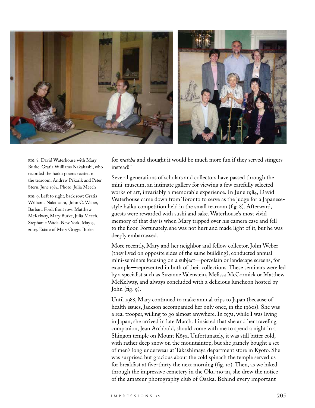

**fig. 8.** David Waterhouse with Mary Burke, Gratia Williams Nakahashi, who recorded the haiku poems recited in the tearoom, Andrew Pekarik and Peter Stern. June 1984. Photo: Julia Meech

**fig. 9.** Left to right, back row: Gratia Williams Nakahashi, John C. Weber, Barbara Ford; front row: Matthew McKelway, Mary Burke, Julia Meech, Stephanie Wada. New York, May 9, 2003. Estate of Mary Griggs Burke

for *matcha* and thought it would be much more fun if they served stingers instead!"

Several generations of scholars and collectors have passed through the mini-museum, an intimate gallery for viewing a few carefully selected works of art, invariably a memorable experience. In June 1984, David Waterhouse came down from Toronto to serve as the judge for a Japanesestyle haiku competition held in the small tearoom (fig. 8). Afterward, guests were rewarded with sushi and sake. Waterhouse's most vivid memory of that day is when Mary tripped over his camera case and fell to the floor. Fortunately, she was not hurt and made light of it, but he was deeply embarrassed.

More recently, Mary and her neighbor and fellow collector, John Weber (they lived on opposite sides of the same building), conducted annual mini-seminars focusing on a subject—porcelain or landscape screens, for example—represented in both of their collections. These seminars were led by a specialist such as Suzanne Valenstein, Melissa McCormick or Matthew McKelway, and always concluded with a delicious luncheon hosted by John  $(fig. q)$ .

Until 1988, Mary continued to make annual trips to Japan (because of health issues, Jackson accompanied her only once, in the 1960s). She was a real trooper, willing to go almost anywhere. In 1972, while I was living in Japan, she arrived in late March. I insisted that she and her traveling companion, Jean Archbold, should come with me to spend a night in a Shingon temple on Mount Kōya. Unfortunately, it was still bitter cold, with rather deep snow on the mountaintop, but she gamely bought a set of men's long underwear at Takashimaya department store in Kyoto. She was surprised but gracious about the cold spinach the temple served us for breakfast at five-thirty the next morning (fig. 10). Then, as we hiked through the impressive cemetery in the Oku-no-in, she drew the notice of the amateur photography club of Osaka. Behind every important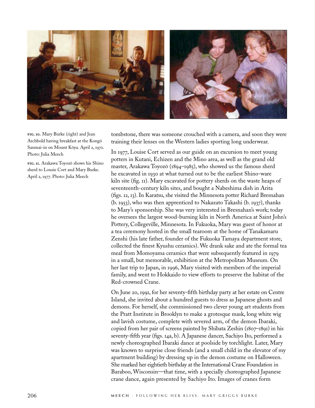

**fig. 10.** Mary Burke (right) and Jean Archbold having breakfast at the Kongō Sanmai-in on Mount Kōya. April 2, 1972. Photo: Julia Meech

**fig. 11.** Arakawa Toyozō shows his Shino sherd to Lousie Cort and Mary Burke. April 2, 1977. Photo: Julia Meech

tombstone, there was someone crouched with a camera, and soon they were training their lenses on the Western ladies sporting long underwear.

In 1977, Louise Cort served as our guide on an excursion to meet young potters in Kutani, Echizen and the Mino area, as well as the grand old master, Arakawa Toyozō (1894–1985), who showed us the famous sherd he excavated in 1930 at what turned out to be the earliest Shino-ware kiln site (fig. 11). Mary excavated for pottery sherds on the waste heaps of seventeenth-century kiln sites, and bought a Nabeshima dish in Arita (figs. 12, 13). In Karatsu, she visited the Minnesota potter Richard Bresnahan (b. 1953), who was then apprenticed to Nakazato Takashi (b. 1937), thanks to Mary's sponsorship. She was very interested in Bresnahan's work; today he oversees the largest wood-burning kiln in North America at Saint John's Pottery, Collegeville, Minnesota. In Fukuoka, Mary was guest of honor at a tea ceremony hosted in the small tearoom at the home of Tanakamaru Zenshi (his late father, founder of the Fukuoka Tamaya department store, collected the finest Kyushu ceramics). We drank sake and ate the formal tea meal from Momoyama ceramics that were subsequently featured in 1979 in a small, but memorable, exhibition at the Metropolitan Museum. On her last trip to Japan, in 1996, Mary visited with members of the imperial family, and went to Hokkaido to view efforts to preserve the habitat of the Red-crowned Crane.

On June 20, 1991, for her seventy-fifth birthday party at her estate on Centre Island, she invited about a hundred guests to dress as Japanese ghosts and demons. For herself, she commissioned two clever young art students from the Pratt Institute in Brooklyn to make a grotesque mask, long white wig and lavish costume, complete with severed arm, of the demon Ibaraki, copied from her pair of screens painted by Shibata Zeshin (1807–1891) in his seventy-fifth year (figs. 14a, b). A Japanese dancer, Sachiyo Ito, performed a newly choreographed Ibaraki dance at poolside by torchlight. Later, Mary was known to surprise close friends (and a small child in the elevator of my apartment building) by dressing up in the demon costume on Halloween. She marked her eightieth birthday at the International Crane Foundation in Baraboo, Wisconsin—that time, with a specially choreographed Japanese crane dance, again presented by Sachiyo Ito. Images of cranes form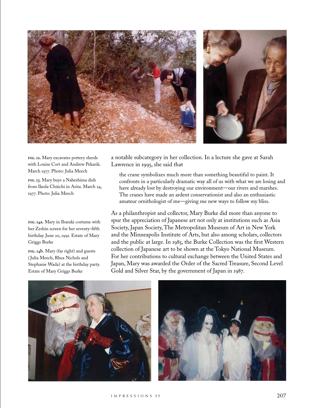

**fig. 12.** Mary excavates pottery sherds with Louise Cort and Andrew Pekarik. March 1977. Photo: Julia Meech

**fig. 13.** Mary buys a Nabeshima dish from Ikeda Chūichi in Arita. March 24, 1977. Photo: Julia Meech

#### **fig. 14a.** Mary in Ibaraki costume with her Zeshin screen for her seventy-fifth birthday. June 20, 1991. Estate of Mary Griggs Burke

**fig. 14b.** Mary (far right) and guests ( Julia Meech, Rhea Nichols and Stephanie Wada) at the birthday party. Estate of Mary Griggs Burke

a notable subcategory in her collection. In a lecture she gave at Sarah Lawrence in 1995, she said that

the crane symbolizes much more than something beautiful to paint. It confronts in a particularly dramatic way all of us with what we are losing and have already lost by destroying our environment—our rivers and marshes. The cranes have made an ardent conservationist and also an enthusiastic amateur ornithologist of me—giving me new ways to follow my bliss.

As a philanthropist and collector, Mary Burke did more than anyone to spur the appreciation of Japanese art not only at institutions such as Asia Society, Japan Society, The Metropolitan Museum of Art in New York and the Minneapolis Institute of Arts, but also among scholars, collectors and the public at large. In 1985, the Burke Collection was the first Western collection of Japanese art to be shown at the Tokyo National Museum. For her contributions to cultural exchange between the United States and Japan, Mary was awarded the Order of the Sacred Treasure, Second Level Gold and Silver Star, by the government of Japan in 1987.

![](_page_7_Picture_8.jpeg)

![](_page_7_Picture_9.jpeg)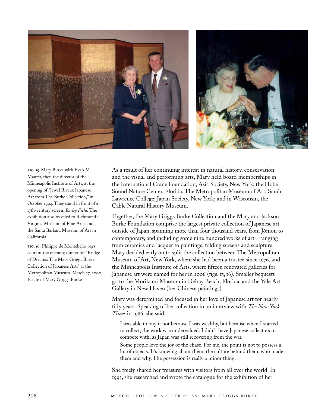![](_page_8_Picture_0.jpeg)

**fig. 15.** Mary Burke with Evan M. Maurer, then the director of the Minneapolis Institute of Arts, at the opening of "Jewel Rivers: Japanese Art from The Burke Collection," in October 1994. They stand in front of a 17th-century screen, *Barley Field*. The exhibition also traveled to Richmond's Virginia Museum of Fine Arts, and the Santa Barbara Museum of Art in California.

**fig. 16.** Philippe de Montebello pays court at the opening dinner for "Bridge of Dreams: The Mary Griggs Burke Collection of Japanese Art," at the Metropolitan Museum. March 27, 2000. Estate of Mary Griggs Burke

As a result of her continuing interest in natural history, conservation and the visual and performing arts, Mary held board memberships in the International Crane Foundation; Asia Society, New York; the Hobe Sound Nature Center, Florida; The Metropolitan Museum of Art; Sarah Lawrence College; Japan Society, New York; and in Wisconsin, the Cable Natural History Museum.

Together, the Mary Griggs Burke Collection and the Mary and Jackson Burke Foundation comprise the largest private collection of Japanese art outside of Japan, spanning more than four thousand years, from Jōmon to contemporary, and including some nine hundred works of art—ranging from ceramics and lacquer to paintings, folding screens and sculpture. Mary decided early on to split the collection between The Metropolitan Museum of Art, New York, where she had been a trustee since 1976, and the Minneapolis Institute of Arts, where fifteen renovated galleries for Japanese art were named for her in 2006 (figs. 15, 16). Smaller bequests go to the Morikami Museum in Delray Beach, Florida, and the Yale Art Gallery in New Haven (her Chinese paintings).

Mary was determined and focused in her love of Japanese art for nearly fifty years. Speaking of her collection in an interview with *The New York Times* in 1986, she said,

I was able to buy it not because I was wealthy, but because when I started to collect, the work was undervalued. I didn't have Japanese collectors to compete with, as Japan was still recovering from the war.

Some people love the joy of the chase. For me, the point is not to possess a lot of objects. It's knowing about them, the culture behind them, who made them and why. The possession is really a minor thing.

She freely shared her treasures with visitors from all over the world. In 1993, she researched and wrote the catalogue for the exhibition of her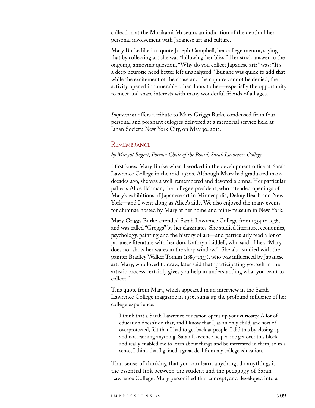collection at the Morikami Museum, an indication of the depth of her personal involvement with Japanese art and culture.

Mary Burke liked to quote Joseph Campbell, her college mentor, saying that by collecting art she was "following her bliss." Her stock answer to the ongoing, annoying question, "Why do you collect Japanese art?" was: "It's a deep neurotic need better left unanalyzed." But she was quick to add that while the excitement of the chase and the capture cannot be denied, the activity opened innumerable other doors to her—especially the opportunity to meet and share interests with many wonderful friends of all ages.

*Impressions* offers a tribute to Mary Griggs Burke condensed from four personal and poignant eulogies delivered at a memorial service held at Japan Society, New York City, on May 30, 2013.

#### **REMEMBRANCE**

#### *by Margot Bogert, Former Chair of the Board, Sarah Lawrence College*

I first knew Mary Burke when I worked in the development office at Sarah Lawrence College in the mid-1980s. Although Mary had graduated many decades ago, she was a well-remembered and devoted alumna. Her particular pal was Alice Ilchman, the college's president, who attended openings of Mary's exhibitions of Japanese art in Minneapolis, Delray Beach and New York—and I went along as Alice's aide. We also enjoyed the many events for alumnae hosted by Mary at her home and mini-museum in New York.

Mary Griggs Burke attended Sarah Lawrence College from 1934 to 1938, and was called "Groggs" by her classmates. She studied literature, economics, psychology, painting and the history of art—and particularly read a lot of Japanese literature with her don, Kathryn Liddell, who said of her, "Mary does not show her wares in the shop window." She also studied with the painter Bradley Walker Tomlin (1889–1953), who was influenced by Japanese art. Mary, who loved to draw, later said that "participating yourself in the artistic process certainly gives you help in understanding what you want to collect."

This quote from Mary, which appeared in an interview in the Sarah Lawrence College magazine in 1986, sums up the profound influence of her college experience:

I think that a Sarah Lawrence education opens up your curiosity. A lot of education doesn't do that, and I know that I, as an only child, and sort of overprotected, felt that I had to get back at people. I did this by closing up and not learning anything. Sarah Lawrence helped me get over this block and really enabled me to learn about things and be interested in them, so in a sense, I think that I gained a great deal from my college education.

That sense of thinking that you can learn anything, do anything, is the essential link between the student and the pedagogy of Sarah Lawrence College. Mary personified that concept, and developed into a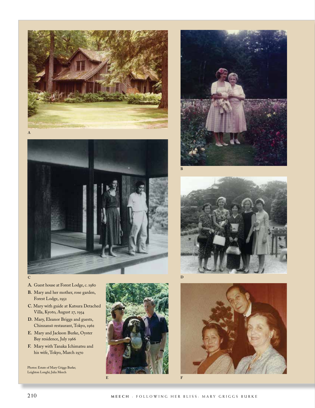![](_page_10_Picture_0.jpeg)

![](_page_10_Picture_1.jpeg)

![](_page_10_Picture_2.jpeg)

![](_page_10_Picture_3.jpeg)

![](_page_10_Picture_4.jpeg)

- **A.** Guest house at Forest Lodge, c. 1980
- **B.** Mary and her mother, rose garden, Forest Lodge, 1952
- **C.** Mary with guide at Katsura Detached Villa, Kyoto, August 27, 1954
- **D.** Mary, Eleanor Briggs and guests, Chinzansō restaurant, Tokyo, 1962
- **E.** Mary and Jackson Burke, Oyster Bay residence, July 1966
- **F.** Mary with Tanaka Ichimatsu and his wife, Tokyo, March 1970

Photos: Estate of Mary Griggs Burke; Leighton Longhi; Julia Meech

![](_page_10_Picture_12.jpeg)

![](_page_10_Picture_13.jpeg)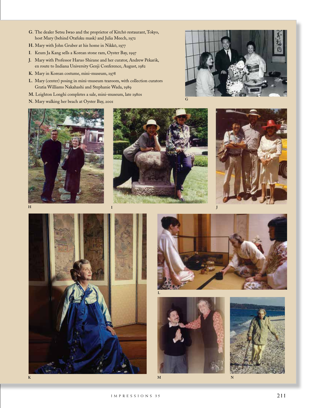- **G**. The dealer Setsu Iwao and the proprietor of Kitchō restaurant, Tokyo, host Mary (behind Otafuku mask) and Julia Meech, 1972
- **H.** Mary with John Gruber at his home in Nikkō, 1977
- **I**. Keum Ja Kang sells a Korean stone ram, Oyster Bay, 1997
- **J.** Mary with Professor Haruo Shirane and her curator, Andrew Pekarik, en route to Indiana University Genji Conference, August, 1982
- **K.** Mary in Korean costume, mini-museum, 1978
- **L**. Mary (center) posing in mini-museum tearoom, with collection curators Gratia Williams Nakahashi and Stephanie Wada, 1989
- **M.** Leighton Longhi completes a sale, mini-museum, late 1980s
- **N.** Mary walking her beach at Oyster Bay, 2001

![](_page_11_Picture_8.jpeg)

![](_page_11_Picture_9.jpeg)

![](_page_11_Picture_10.jpeg)

![](_page_11_Picture_11.jpeg)

![](_page_11_Picture_12.jpeg)

![](_page_11_Picture_13.jpeg)

![](_page_11_Picture_14.jpeg)

![](_page_11_Picture_15.jpeg)

![](_page_11_Picture_16.jpeg)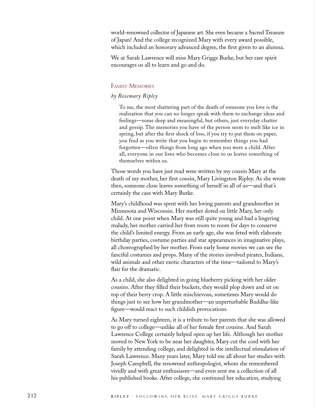world-renowned collector of Japanese art. She even became a Sacred Treasure of Japan! And the college recognized Mary with every award possible, which included an honorary advanced degree, the first given to an alumna.

We at Sarah Lawrence will miss Mary Griggs Burke, but her rare spirit encourages us all to learn and go and do.

#### Family Memories

### *by Rosemary Ripley*

To me, the most shattering part of the death of someone you love is the realization that you can no longer speak with them to exchange ideas and feelings—some deep and meaningful, but others, just everyday chatter and gossip. The memories you have of the person seem to melt like ice in spring, but after the first shock of loss, if you try to put them on paper, you find as you write that you begin to remember things you had forgotten—often things from long ago when you were a child. After all, everyone in our lives who becomes close to us leaves something of themselves within us.

Those words you have just read were written by my cousin Mary at the death of my mother, her first cousin, Mary Livingston Ripley. As she wrote then, someone close leaves something of herself in all of us—and that's certainly the case with Mary Burke.

Mary's childhood was spent with her loving parents and grandmother in Minnesota and Wisconsin. Her mother doted on little Mary, her only child. At one point when Mary was still quite young and had a lingering malady, her mother carried her from room to room for days to conserve the child's limited energy. From an early age, she was feted with elaborate birthday parties, costume parties and star appearances in imaginative plays, all choreographed by her mother. From early home movies we can see the fanciful costumes and props. Many of the stories involved pirates, Indians, wild animals and other exotic characters of the time—tailored to Mary's flair for the dramatic.

As a child, she also delighted in going blueberry picking with her older cousins. After they filled their buckets, they would plop down and sit on top of their berry crop. A little mischievous, sometimes Mary would do things just to see how her grandmother—an unperturbable Buddha-like figure—would react to such childish provocations.

As Mary turned eighteen, it is a tribute to her parents that she was allowed to go off to college—unlike all of her female first cousins. And Sarah Lawrence College certainly helped open up her life. Although her mother moved to New York to be near her daughter, Mary cut the cord with her family by attending college, and delighted in the intellectual stimulation of Sarah Lawrence. Many years later, Mary told me all about her studies with Joseph Campbell, the renowned anthropologist, whom she remembered vividly and with great enthusiasm—and even sent me a collection of all his published books. After college, she continued her education, studying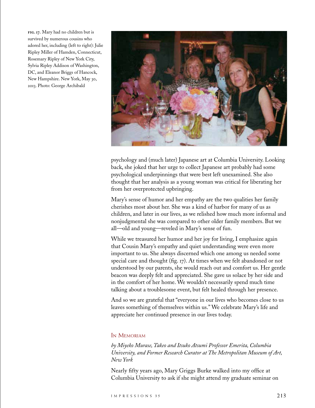**fig. 17.** Mary had no children but is survived by numerous cousins who adored her, including (left to right): Julie Ripley Miller of Hamden, Connecticut, Rosemary Ripley of New York City, Sylvia Ripley Addison of Washington, DC, and Eleanor Briggs of Hancock, New Hampshire. New York, May 30, 2013. Photo: George Archibald

![](_page_13_Picture_1.jpeg)

psychology and (much later) Japanese art at Columbia University. Looking back, she joked that her urge to collect Japanese art probably had some psychological underpinnings that were best left unexamined. She also thought that her analysis as a young woman was critical for liberating her from her overprotected upbringing.

Mary's sense of humor and her empathy are the two qualities her family cherishes most about her. She was a kind of harbor for many of us as children, and later in our lives, as we relished how much more informal and nonjudgmental she was compared to other older family members. But we all*—*old and young—reveled in Mary's sense of fun.

While we treasured her humor and her joy for living, I emphasize again that Cousin Mary's empathy and quiet understanding were even more important to us. She always discerned which one among us needed some special care and thought (fig. 17). At times when we felt abandoned or not understood by our parents, she would reach out and comfort us. Her gentle beacon was deeply felt and appreciated. She gave us solace by her side and in the comfort of her home. We wouldn't necessarily spend much time talking about a troublesome event, but felt healed through her presence.

And so we are grateful that "everyone in our lives who becomes close to us leaves something of themselves within us." We celebrate Mary's life and appreciate her continued presence in our lives today.

#### In Memoriam

*by Miyeko Murase, Takeo and Itsuko Atsumi Professor Emerita, Columbia University, and Former Research Curator at The Metropolitan Museum of Art, New York*

Nearly fifty years ago, Mary Griggs Burke walked into my office at Columbia University to ask if she might attend my graduate seminar on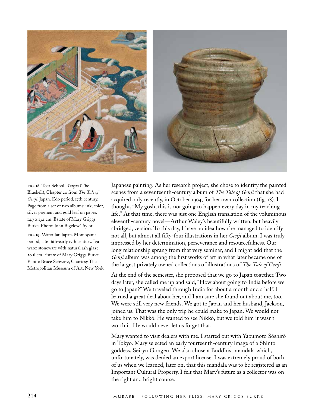![](_page_14_Picture_0.jpeg)

**fig. 18.** Tosa School. *Asagao* (The Bluebell), Chapter 20 from *The Tale of Genji*. Japan. Edo period, 17th century. Page from a set of two albums; ink, color, silver pigment and gold leaf on paper. 14.7 x 13.1 cm. Estate of Mary Griggs Burke. Photo: John Bigelow Taylor

**fig. 19.** Water Jar. Japan. Momoyama period, late 16th-early 17th century. Iga ware; stoneware with natural ash glaze. 20.6 cm. Estate of Mary Griggs Burke. Photo: Bruce Schwarz, Courtesy The Metropolitan Museum of Art, New York Japanese painting. As her research project, she chose to identify the painted scenes from a seventeenth-century album of *The Tale of Genji* that she had acquired only recently, in October 1964, for her own collection (fig. 18). I thought, "My gosh, this is not going to happen every day in my teaching life." At that time, there was just one English translation of the voluminous eleventh-century novel—Arthur Waley's beautifully written, but heavily abridged, version. To this day, I have no idea how she managed to identify not all, but almost all fifty-four illustrations in her *Genji* album. I was truly impressed by her determination, perseverance and resourcefulness. Our long relationship sprang from that very seminar, and I might add that the *Genji* album was among the first works of art in what later became one of the largest privately owned collections of illustrations of *The Tale of Genji*.

At the end of the semester, she proposed that we go to Japan together. Two days later, she called me up and said, "How about going to India before we go to Japan?" We traveled through India for about a month and a half. I learned a great deal about her, and I am sure she found out about me, too. We were still very new friends. We got to Japan and her husband, Jackson, joined us. That was the only trip he could make to Japan. We would not take him to Nikkō. He wanted to see Nikkō, but we told him it wasn't worth it. He would never let us forget that.

Mary wanted to visit dealers with me. I started out with Yabumoto Sōshirō in Tokyo. Mary selected an early fourteenth-century image of a Shintō goddess, Seiryū Gongen. We also chose a Buddhist mandala which, unfortunately, was denied an export license. I was extremely proud of both of us when we learned, later on, that this mandala was to be registered as an Important Cultural Property. I felt that Mary's future as a collector was on the right and bright course.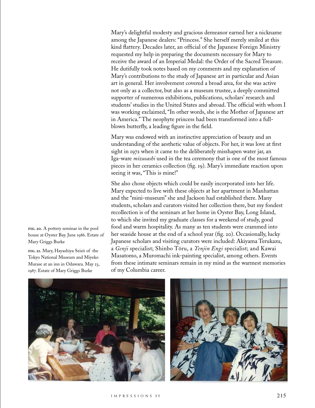Mary's delightful modesty and gracious demeanor earned her a nickname among the Japanese dealers: "Princess." She herself merely smiled at this kind flattery. Decades later, an official of the Japanese Foreign Ministry requested my help in preparing the documents necessary for Mary to receive the award of an Imperial Medal: the Order of the Sacred Treasure. He dutifully took notes based on my comments and my explanation of Mary's contributions to the study of Japanese art in particular and Asian art in general. Her involvement covered a broad area, for she was active not only as a collector, but also as a museum trustee, a deeply committed supporter of numerous exhibitions, publications, scholars' research and students' studies in the United States and abroad. The official with whom I was working exclaimed, "In other words, she is the Mother of Japanese art in America." The neophyte princess had been transformed into a fullblown butterfly, a leading figure in the field.

Mary was endowed with an instinctive appreciation of beauty and an understanding of the aesthetic value of objects. For her, it was love at first sight in 1972 when it came to the deliberately misshapen water jar, an Iga-ware *mizusashi* used in the tea ceremony that is one of the most famous pieces in her ceramics collection (fig. 19). Mary's immediate reaction upon seeing it was, "This is mine!"

She also chose objects which could be easily incorporated into her life. Mary expected to live with these objects at her apartment in Manhattan and the "mini-museum" she and Jackson had established there. Many students, scholars and curators visited her collection there, but my fondest recollection is of the seminars at her home in Oyster Bay, Long Island, to which she invited my graduate classes for a weekend of study, good food and warm hospitality. As many as ten students were crammed into her seaside house at the end of a school year (fig. 20). Occasionally, lucky Japanese scholars and visiting curators were included: Akiyama Terukazu, a *Genji* specialist; Shinbo Tōru, a *Tenjin Engi* specialist; and Kawai Masatomo, a Muromachi ink-painting specialist, among others. Events from these intimate seminars remain in my mind as the warmest memories of my Columbia career.

![](_page_15_Picture_3.jpeg)

![](_page_15_Picture_4.jpeg)

**fig. 20.** A pottery seminar in the pool house at Oyster Bay. June 1986. Estate of Mary Griggs Burke

**fig. 21.** Mary, Hayashiya Seizō of the Tokyo National Museum and Miyeko Murase at an inn in Odawara. May 23, 1987. Estate of Mary Griggs Burke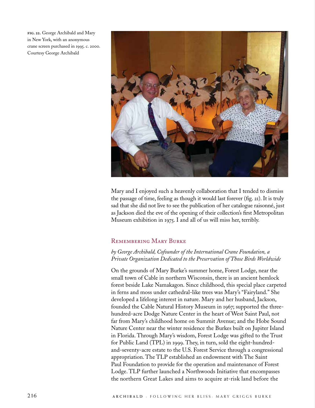**fig. 22.** George Archibald and Mary in New York, with an anonymous crane screen purchased in 1995. c. 2000. Courtesy George Archibald

![](_page_16_Picture_1.jpeg)

Mary and I enjoyed such a heavenly collaboration that I tended to dismiss the passage of time, feeling as though it would last forever (fig. 21). It is truly sad that she did not live to see the publication of her catalogue raisonné, just as Jackson died the eve of the opening of their collection's first Metropolitan Museum exhibition in 1975. I and all of us will miss her, terribly.

## Remembering Mary Burke

## *by George Archibald, Cofounder of the International Crane Foundation, a Private Organization Dedicated to the Preservation of Those Birds Worldwide*

On the grounds of Mary Burke's summer home, Forest Lodge, near the small town of Cable in northern Wisconsin, there is an ancient hemlock forest beside Lake Namakagon. Since childhood, this special place carpeted in ferns and moss under cathedral-like trees was Mary's "Fairyland." She developed a lifelong interest in nature. Mary and her husband, Jackson, founded the Cable Natural History Museum in 1967; supported the threehundred-acre Dodge Nature Center in the heart of West Saint Paul, not far from Mary's childhood home on Summit Avenue; and the Hobe Sound Nature Center near the winter residence the Burkes built on Jupiter Island in Florida. Through Mary's wisdom, Forest Lodge was gifted to the Trust for Public Land (TPL) in 1999. They, in turn, sold the eight-hundredand-seventy-acre estate to the U.S. Forest Service through a congressional appropriation. The TLP established an endowment with The Saint Paul Foundation to provide for the operation and maintenance of Forest Lodge. TLP further launched a Northwoods Initiative that encompasses the northern Great Lakes and aims to acquire at-risk land before the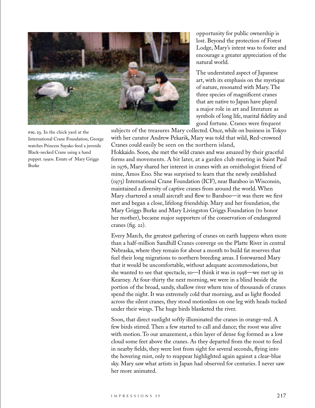![](_page_17_Picture_0.jpeg)

**fig. 23.** In the chick yard at the International Crane Foundation, George watches Princess Sayako feed a juvenile Black-necked Crane using a hand puppet. 199os. Estate of Mary Griggs Burke

opportunity for public ownership is lost. Beyond the protection of Forest Lodge, Mary's intent was to foster and encourage a greater appreciation of the natural world.

The understated aspect of Japanese art, with its emphasis on the mystique of nature, resonated with Mary. The three species of magnificent cranes that are native to Japan have played a major role in art and literature as symbols of long life, marital fidelity and good fortune. Cranes were frequent

subjects of the treasures Mary collected. Once, while on business in Tokyo with her curator Andrew Pekarik, Mary was told that wild, Red-crowned Cranes could easily be seen on the northern island,

Hokkaido. Soon, she met the wild cranes and was amazed by their graceful forms and movements. A bit later, at a garden club meeting in Saint Paul in 1976, Mary shared her interest in cranes with an ornithologist friend of mine, Amos Eno. She was surprised to learn that the newly established (1973) International Crane Foundation (ICF), near Baraboo in Wisconsin, maintained a diversity of captive cranes from around the world. When Mary chartered a small aircraft and flew to Baraboo—it was there we first met and began a close, lifelong friendship. Mary and her foundation, the Mary Griggs Burke and Mary Livingston Griggs Foundation (to honor her mother), became major supporters of the conservation of endangered cranes (fig. 22).

Every March, the greatest gathering of cranes on earth happens when more than a half-million Sandhill Cranes converge on the Platte River in central Nebraska, where they remain for about a month to build fat reserves that fuel their long migrations to northern breeding areas. I forewarned Mary that it would be uncomfortable, without adequate accommodations, but she wanted to see that spectacle, so—I think it was in 1998—we met up in Kearney. At four-thirty the next morning, we were in a blind beside the portion of the broad, sandy, shallow river where tens of thousands of cranes spend the night. It was extremely cold that morning, and as light flooded across the silent cranes, they stood motionless on one leg with heads tucked under their wings. The huge birds blanketed the river.

Soon, that direct sunlight softly illuminated the cranes in orange-red. A few birds stirred. Then a few started to call and dance; the roost was alive with motion. To our amazement, a thin layer of dense fog formed as a low cloud some feet above the cranes. As they departed from the roost to feed in nearby fields, they were lost from sight for several seconds, flying into the hovering mist, only to reappear highlighted again against a clear-blue sky. Mary saw what artists in Japan had observed for centuries. I never saw her more animated.